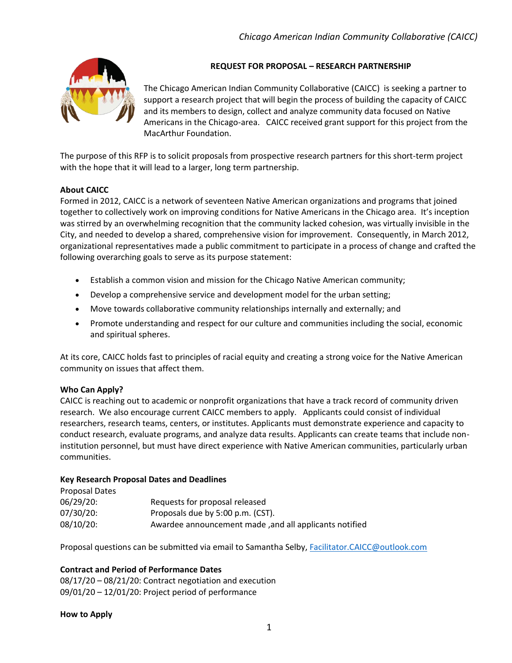

# **REQUEST FOR PROPOSAL – RESEARCH PARTNERSHIP**

The Chicago American Indian Community Collaborative (CAICC) is seeking a partner to support a research project that will begin the process of building the capacity of CAICC and its members to design, collect and analyze community data focused on Native Americans in the Chicago-area. CAICC received grant support for this project from the MacArthur Foundation.

The purpose of this RFP is to solicit proposals from prospective research partners for this short-term project with the hope that it will lead to a larger, long term partnership.

## **About CAICC**

Formed in 2012, CAICC is a network of seventeen Native American organizations and programs that joined together to collectively work on improving conditions for Native Americans in the Chicago area. It's inception was stirred by an overwhelming recognition that the community lacked cohesion, was virtually invisible in the City, and needed to develop a shared, comprehensive vision for improvement. Consequently, in March 2012, organizational representatives made a public commitment to participate in a process of change and crafted the following overarching goals to serve as its purpose statement:

- Establish a common vision and mission for the Chicago Native American community;
- Develop a comprehensive service and development model for the urban setting;
- Move towards collaborative community relationships internally and externally; and
- Promote understanding and respect for our culture and communities including the social, economic and spiritual spheres.

At its core, CAICC holds fast to principles of racial equity and creating a strong voice for the Native American community on issues that affect them.

#### **Who Can Apply?**

CAICC is reaching out to academic or nonprofit organizations that have a track record of community driven research. We also encourage current CAICC members to apply. Applicants could consist of individual researchers, research teams, centers, or institutes. Applicants must demonstrate experience and capacity to conduct research, evaluate programs, and analyze data results. Applicants can create teams that include noninstitution personnel, but must have direct experience with Native American communities, particularly urban communities.

#### **Key Research Proposal Dates and Deadlines**

| Proposal Dates |                                                        |
|----------------|--------------------------------------------------------|
| $06/29/20$ :   | Requests for proposal released                         |
| 07/30/20:      | Proposals due by 5:00 p.m. (CST).                      |
| 08/10/20:      | Awardee announcement made, and all applicants notified |

Proposal questions can be submitted via email to Samantha Selby, [Facilitator.CAICC@outlook.com](mailto:Facilitator.CAICC@outlook.com)

#### **Contract and Period of Performance Dates**

08/17/20 – 08/21/20: Contract negotiation and execution 09/01/20 – 12/01/20: Project period of performance

**How to Apply**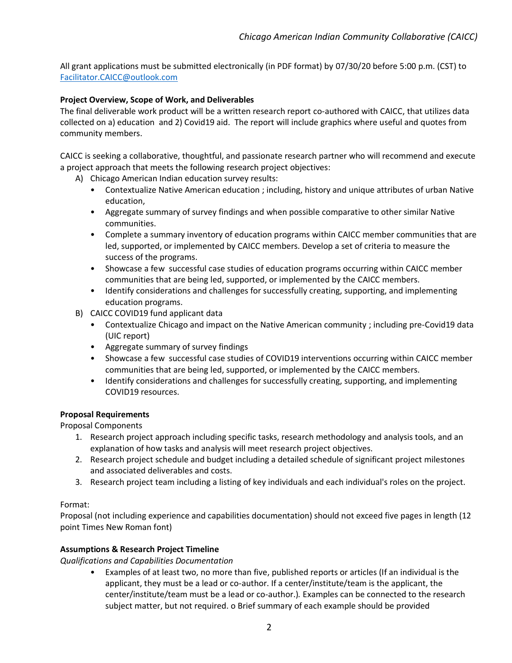All grant applications must be submitted electronically (in PDF format) by 07/30/20 before 5:00 p.m. (CST) to [Facilitator.CAICC@outlook.com](mailto:Facilitator.CAICC@outlook.com)

### **Project Overview, Scope of Work, and Deliverables**

The final deliverable work product will be a written research report co-authored with CAICC, that utilizes data collected on a) education and 2) Covid19 aid. The report will include graphics where useful and quotes from community members.

CAICC is seeking a collaborative, thoughtful, and passionate research partner who will recommend and execute a project approach that meets the following research project objectives:

A) Chicago American Indian education survey results:

- Contextualize Native American education ; including, history and unique attributes of urban Native education,
- Aggregate summary of survey findings and when possible comparative to other similar Native communities.
- Complete a summary inventory of education programs within CAICC member communities that are led, supported, or implemented by CAICC members. Develop a set of criteria to measure the success of the programs.
- Showcase a few successful case studies of education programs occurring within CAICC member communities that are being led, supported, or implemented by the CAICC members.
- Identify considerations and challenges for successfully creating, supporting, and implementing education programs.
- B) CAICC COVID19 fund applicant data
	- Contextualize Chicago and impact on the Native American community ; including pre-Covid19 data (UIC report)
	- Aggregate summary of survey findings
	- Showcase a few successful case studies of COVID19 interventions occurring within CAICC member communities that are being led, supported, or implemented by the CAICC members.
	- Identify considerations and challenges for successfully creating, supporting, and implementing COVID19 resources.

#### **Proposal Requirements**

Proposal Components

- 1. Research project approach including specific tasks, research methodology and analysis tools, and an explanation of how tasks and analysis will meet research project objectives.
- 2. Research project schedule and budget including a detailed schedule of significant project milestones and associated deliverables and costs.
- 3. Research project team including a listing of key individuals and each individual's roles on the project.

### Format:

Proposal (not including experience and capabilities documentation) should not exceed five pages in length (12 point Times New Roman font)

#### **Assumptions & Research Project Timeline**

*Qualifications and Capabilities Documentation* 

• Examples of at least two, no more than five, published reports or articles (If an individual is the applicant, they must be a lead or co-author. If a center/institute/team is the applicant, the center/institute/team must be a lead or co-author.)*.* Examples can be connected to the research subject matter, but not required. o Brief summary of each example should be provided